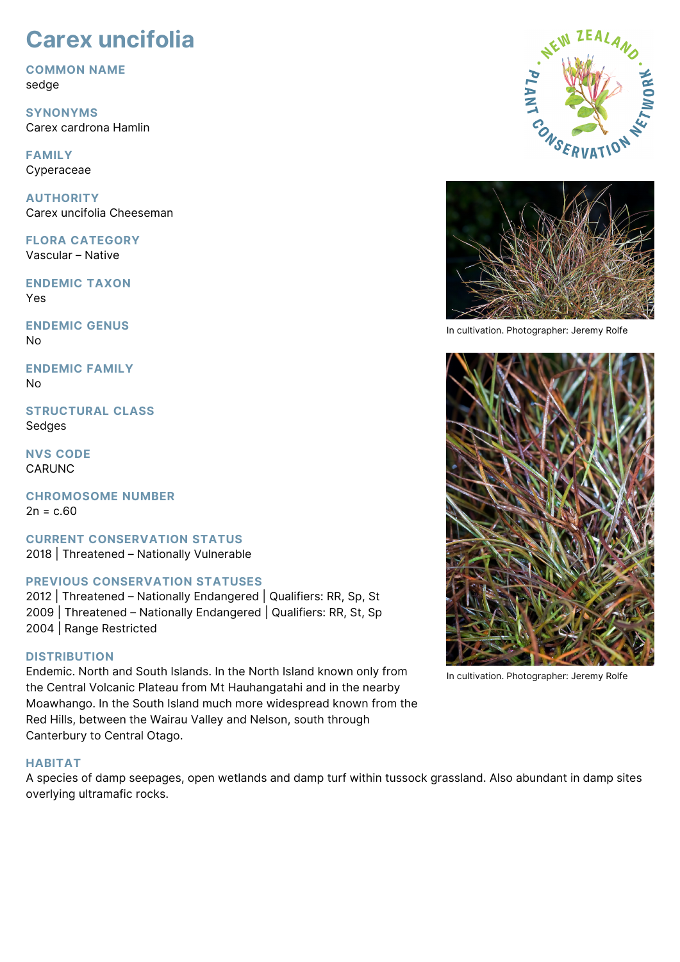# **Carex uncifolia**

**COMMON NAME** sedge

**SYNONYMS** Carex cardrona Hamlin

**FAMILY** Cyperaceae

**AUTHORITY** Carex uncifolia Cheeseman

**FLORA CATEGORY** Vascular – Native

**ENDEMIC TAXON** Yes

**ENDEMIC GENUS** No

**ENDEMIC FAMILY** No

**STRUCTURAL CLASS Sedges** 

**NVS CODE** CARUNC

**CHROMOSOME NUMBER**  $2n = c.60$ 

**CURRENT CONSERVATION STATUS** 2018 | Threatened – Nationally Vulnerable

# **PREVIOUS CONSERVATION STATUSES**

2012 | Threatened – Nationally Endangered | Qualifiers: RR, Sp, St 2009 | Threatened – Nationally Endangered | Qualifiers: RR, St, Sp 2004 | Range Restricted

# **DISTRIBUTION**

Endemic. North and South Islands. In the North Island known only from the Central Volcanic Plateau from Mt Hauhangatahi and in the nearby Moawhango. In the South Island much more widespread known from the Red Hills, between the Wairau Valley and Nelson, south through Canterbury to Central Otago.

# **HABITAT**

A species of damp seepages, open wetlands and damp turf within tussock grassland. Also abundant in damp sites overlying ultramafic rocks.





In cultivation. Photographer: Jeremy Rolfe



In cultivation. Photographer: Jeremy Rolfe